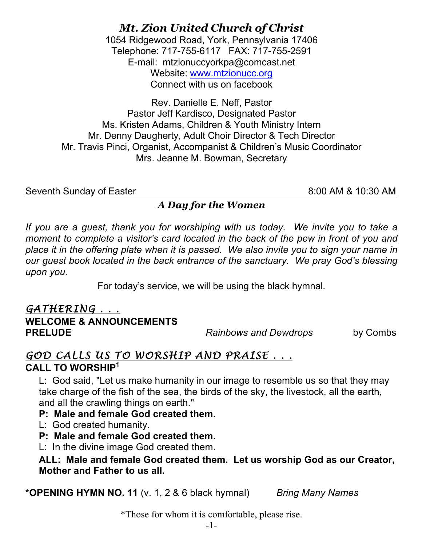# *Mt. Zion United Church of Christ*

1054 Ridgewood Road, York, Pennsylvania 17406 Telephone: 717-755-6117 FAX: 717-755-2591 E-mail: mtzionuccyorkpa@comcast.net Website: www.mtzionucc.org Connect with us on facebook

Rev. Danielle E. Neff, Pastor Pastor Jeff Kardisco, Designated Pastor Ms. Kristen Adams, Children & Youth Ministry Intern Mr. Denny Daugherty, Adult Choir Director & Tech Director Mr. Travis Pinci, Organist, Accompanist & Children's Music Coordinator Mrs. Jeanne M. Bowman, Secretary

Seventh Sunday of Easter 8:00 AM & 10:30 AM

### *A Day for the Women*

If you are a guest, thank you for worshiping with us today. We invite you to take a *moment to complete a visitor's card located in the back of the pew in front of you and place it in the offering plate when it is passed. We also invite you to sign your name in our guest book located in the back entrance of the sanctuary. We pray God's blessing upon you.*

For today's service, we will be using the black hymnal.

#### *GATHERING . . .* **WELCOME & ANNOUNCEMENTS PRELUDE** *Rainbows and Dewdrops* by Combs

## *GOD CALLS US TO WORSHIP AND PRAISE . . .*  **CALL TO WORSHIP<sup>1</sup>**

 L: God said, "Let us make humanity in our image to resemble us so that they may take charge of the fish of the sea, the birds of the sky, the livestock, all the earth, and all the crawling things on earth."

 **P: Male and female God created them.**

L: God created humanity.

**P: Male and female God created them.**

L: In the divine image God created them.

#### **ALL: Male and female God created them. Let us worship God as our Creator, Mother and Father to us all.**

**\*OPENING HYMN NO. 11** (v. 1, 2 & 6 black hymnal) *Bring Many Names*

\*Those for whom it is comfortable, please rise.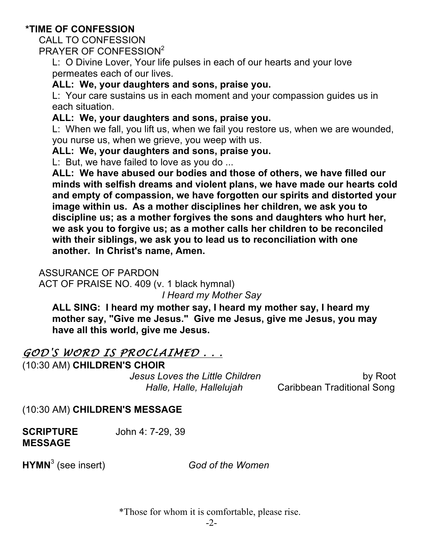#### **\*TIME OF CONFESSION**

CALL TO CONFESSION

PRAYER OF CONFESSION2

 L: O Divine Lover, Your life pulses in each of our hearts and your love permeates each of our lives.

#### **ALL: We, your daughters and sons, praise you.**

L: Your care sustains us in each moment and your compassion guides us in each situation.

#### **ALL: We, your daughters and sons, praise you.**

L: When we fall, you lift us, when we fail you restore us, when we are wounded, you nurse us, when we grieve, you weep with us.

#### **ALL: We, your daughters and sons, praise you.**

L: But, we have failed to love as you do ...

 **ALL: We have abused our bodies and those of others, we have filled our minds with selfish dreams and violent plans, we have made our hearts cold and empty of compassion, we have forgotten our spirits and distorted your image within us. As a mother disciplines her children, we ask you to discipline us; as a mother forgives the sons and daughters who hurt her, we ask you to forgive us; as a mother calls her children to be reconciled with their siblings, we ask you to lead us to reconciliation with one another. In Christ's name, Amen.**

#### ASSURANCE OF PARDON

ACT OF PRAISE NO. 409 (v. 1 black hymnal)

*I Heard my Mother Say*

 **ALL SING: I heard my mother say, I heard my mother say, I heard my mother say, "Give me Jesus." Give me Jesus, give me Jesus, you may have all this world, give me Jesus.**

## *GOD'S WORD IS PROCLAIMED . . .*

(10:30 AM) **CHILDREN'S CHOIR** 

*Jesus Loves the Little Children* by Root

*Halle, Halle, Hallelujah* Caribbean Traditional Song

(10:30 AM) **CHILDREN'S MESSAGE**

**SCRIPTURE** John 4: 7-29, 39 **MESSAGE**

**HYMN**<sup>3</sup> (see insert) *God of the Women* 

\*Those for whom it is comfortable, please rise.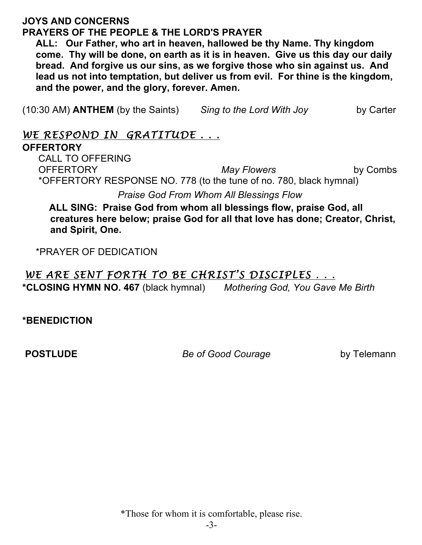#### **JOYS AND CONCERNS PRAYERS OF THE PEOPLE & THE LORD'S PRAYER**

 **ALL: Our Father, who art in heaven, hallowed be thy Name. Thy kingdom come. Thy will be done, on earth as it is in heaven. Give us this day our daily bread. And forgive us our sins, as we forgive those who sin against us. And lead us not into temptation, but deliver us from evil. For thine is the kingdom, and the power, and the glory, forever. Amen.**

(10:30 AM) **ANTHEM** (by the Saints) *Sing to the Lord With Joy* by Carter

### *WE RESPOND IN GRATITUDE . . .*

#### **OFFERTORY**

CALL TO OFFERING OFFERTORY *May Flowers* by Combs \*OFFERTORY RESPONSE NO. 778 (to the tune of no. 780, black hymnal)

*Praise God From Whom All Blessings Flow*

 **ALL SING: Praise God from whom all blessings flow, praise God, all creatures here below; praise God for all that love has done; Creator, Christ, and Spirit, One.**

\*PRAYER OF DEDICATION

## *WE ARE SENT FORTH TO BE CHRIST'S DISCIPLES . . .*

**\*CLOSING HYMN NO. 467** (black hymnal) *Mothering God, You Gave Me Birth* 

**\*BENEDICTION** 

**POSTLUDE** *Be of Good Courage* by Telemann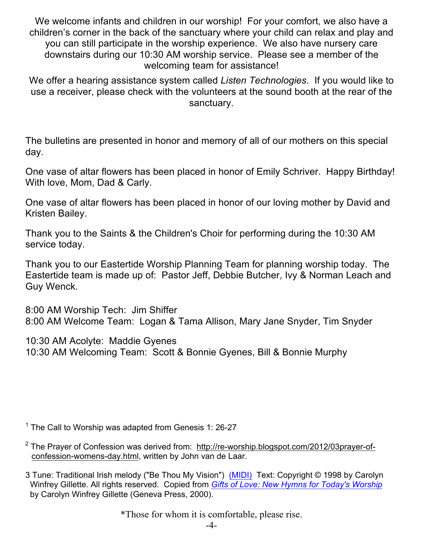We welcome infants and children in our worship! For your comfort, we also have a children's corner in the back of the sanctuary where your child can relax and play and you can still participate in the worship experience. We also have nursery care downstairs during our 10:30 AM worship service. Please see a member of the welcoming team for assistance!

We offer a hearing assistance system called *Listen Technologies*. If you would like to use a receiver, please check with the volunteers at the sound booth at the rear of the sanctuary.

The bulletins are presented in honor and memory of all of our mothers on this special day.

One vase of altar flowers has been placed in honor of Emily Schriver. Happy Birthday! With love, Mom, Dad & Carly.

One vase of altar flowers has been placed in honor of our loving mother by David and Kristen Bailey.

Thank you to the Saints & the Children's Choir for performing during the 10:30 AM service today.

Thank you to our Eastertide Worship Planning Team for planning worship today. The Eastertide team is made up of: Pastor Jeff, Debbie Butcher, Ivy & Norman Leach and Guy Wenck.

8:00 AM Worship Tech: Jim Shiffer 8:00 AM Welcome Team: Logan & Tama Allison, Mary Jane Snyder, Tim Snyder

10:30 AM Acolyte: Maddie Gyenes 10:30 AM Welcoming Team: Scott & Bonnie Gyenes, Bill & Bonnie Murphy

 $1$  The Call to Worship was adapted from Genesis 1: 26-27

<sup>2</sup> The Prayer of Confession was derived from: http://re-worship.blogspot.com/2012/03prayer-ofconfession-womens-day.html, written by John van de Laar.

3 Tune: Traditional Irish melody ("Be Thou My Vision") (MIDI) Text: Copyright © 1998 by Carolyn Winfrey Gillette. All rights reserved. Copied from *Gifts of Love: New Hymns for Today's Worship* by Carolyn Winfrey Gillette (Geneva Press, 2000).

\*Those for whom it is comfortable, please rise.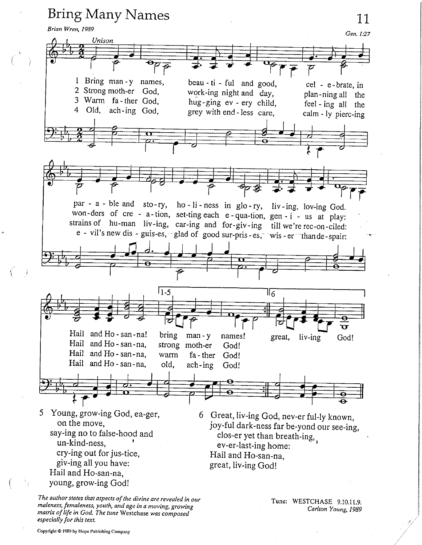

The author states that aspects of the divine are revealed in our maleness, femaleness, youth, and age in a moving, growing matrix of life in God. The tune Westchase was composed especially for this text.

Tune: WESTCHASE 9.10.11.9. Carlton Young, 1989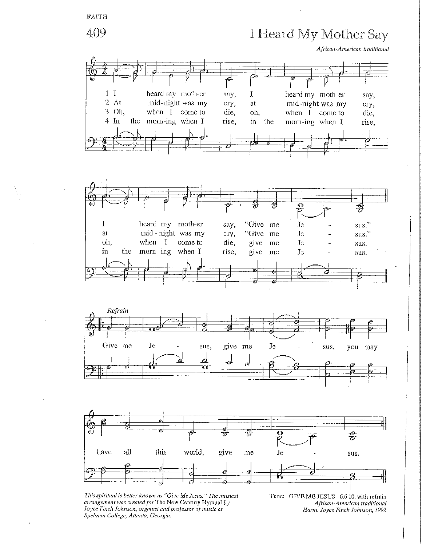

This spiritual is better known as "Give Me Jesus," The musical arrangement was created for The New Century Hymnal by Joyce Finch Johnson, organist and professor of music at Spelman College, Atlanta, Georgia.

Tune: GIVE ME JESUS 6.6.10, with refrain African-American traditional Harm. Joyce Finch Johnson, 1992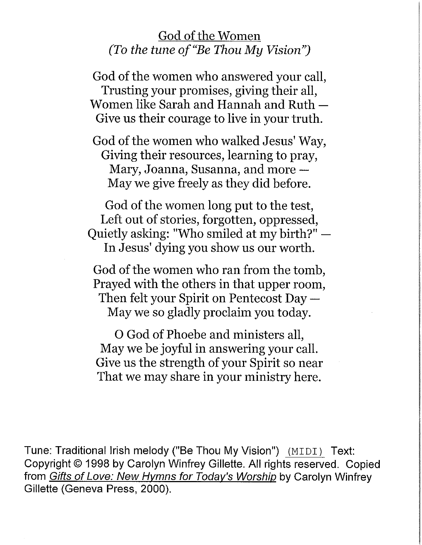## God of the Women (To the tune of "Be Thou My Vision")

God of the women who answered your call, Trusting your promises, giving their all, Women like Sarah and Hannah and Ruth -Give us their courage to live in your truth.

God of the women who walked Jesus' Way, Giving their resources, learning to pray, Mary, Joanna, Susanna, and more -May we give freely as they did before.

God of the women long put to the test, Left out of stories, forgotten, oppressed, Quietly asking: "Who smiled at my birth?" -In Jesus' dying you show us our worth.

God of the women who ran from the tomb, Prayed with the others in that upper room, Then felt your Spirit on Pentecost Day  $-$ May we so gladly proclaim you today.

O God of Phoebe and ministers all, May we be joyful in answering your call. Give us the strength of your Spirit so near That we may share in your ministry here.

Tune: Traditional Irish melody ("Be Thou My Vision") (MIDI) Text: Copyright © 1998 by Carolyn Winfrey Gillette. All rights reserved. Copied from Gifts of Love: New Hymns for Today's Worship by Carolyn Winfrey Gillette (Geneva Press, 2000).